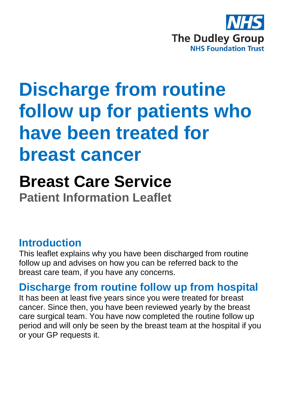

# **Discharge from routine follow up for patients who have been treated for breast cancer**

## **Breast Care Service**

**Patient Information Leaflet**

### **Introduction**

This leaflet explains why you have been discharged from routine follow up and advises on how you can be referred back to the breast care team, if you have any concerns.

## **Discharge from routine follow up from hospital**

It has been at least five years since you were treated for breast cancer. Since then, you have been reviewed yearly by the breast care surgical team. You have now completed the routine follow up period and will only be seen by the breast team at the hospital if you or your GP requests it.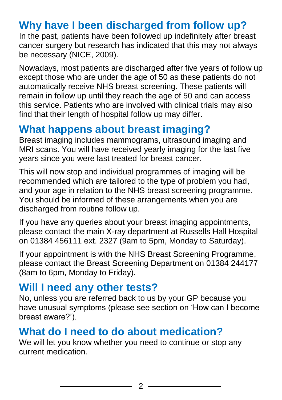## **Why have I been discharged from follow up?**

In the past, patients have been followed up indefinitely after breast cancer surgery but research has indicated that this may not always be necessary (NICE, 2009).

Nowadays, most patients are discharged after five years of follow up except those who are under the age of 50 as these patients do not automatically receive NHS breast screening. These patients will remain in follow up until they reach the age of 50 and can access this service. Patients who are involved with clinical trials may also find that their length of hospital follow up may differ.

## **What happens about breast imaging?**

Breast imaging includes mammograms, ultrasound imaging and MRI scans. You will have received yearly imaging for the last five years since you were last treated for breast cancer.

This will now stop and individual programmes of imaging will be recommended which are tailored to the type of problem you had, and your age in relation to the NHS breast screening programme. You should be informed of these arrangements when you are discharged from routine follow up.

If you have any queries about your breast imaging appointments, please contact the main X-ray department at Russells Hall Hospital on 01384 456111 ext. 2327 (9am to 5pm, Monday to Saturday).

If your appointment is with the NHS Breast Screening Programme, please contact the Breast Screening Department on 01384 244177 (8am to 6pm, Monday to Friday).

### **Will I need any other tests?**

No, unless you are referred back to us by your GP because you have unusual symptoms (please see section on 'How can I become breast aware?').

### **What do I need to do about medication?**

We will let you know whether you need to continue or stop any current medication.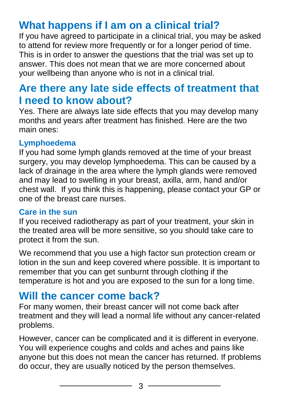## **What happens if I am on a clinical trial?**

If you have agreed to participate in a clinical trial, you may be asked to attend for review more frequently or for a longer period of time. This is in order to answer the questions that the trial was set up to answer. This does not mean that we are more concerned about your wellbeing than anyone who is not in a clinical trial.

## **Are there any late side effects of treatment that I need to know about?**

Yes. There are always late side effects that you may develop many months and years after treatment has finished. Here are the two main ones:

#### **Lymphoedema**

If you had some lymph glands removed at the time of your breast surgery, you may develop lymphoedema. This can be caused by a lack of drainage in the area where the lymph glands were removed and may lead to swelling in your breast, axilla, arm, hand and/or chest wall. If you think this is happening, please contact your GP or one of the breast care nurses.

#### **Care in the sun**

If you received radiotherapy as part of your treatment, your skin in the treated area will be more sensitive, so you should take care to protect it from the sun.

We recommend that you use a high factor sun protection cream or lotion in the sun and keep covered where possible. It is important to remember that you can get sunburnt through clothing if the temperature is hot and you are exposed to the sun for a long time.

## **Will the cancer come back?**

For many women, their breast cancer will not come back after treatment and they will lead a normal life without any cancer-related problems.

However, cancer can be complicated and it is different in everyone. You will experience coughs and colds and aches and pains like anyone but this does not mean the cancer has returned. If problems do occur, they are usually noticed by the person themselves.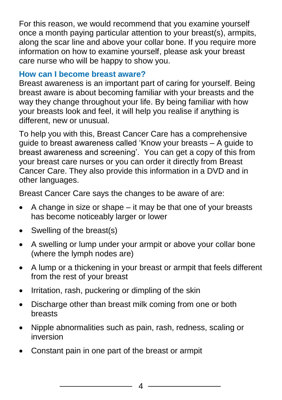For this reason, we would recommend that you examine yourself once a month paying particular attention to your breast(s), armpits, along the scar line and above your collar bone. If you require more information on how to examine yourself, please ask your breast care nurse who will be happy to show you.

#### **How can I become breast aware?**

Breast awareness is an important part of caring for yourself. Being breast aware is about becoming familiar with your breasts and the way they change throughout your life. By being familiar with how your breasts look and feel, it will help you realise if anything is different, new or unusual.

To help you with this, Breast Cancer Care has a comprehensive guide to breast awareness called 'Know your breasts – A guide to breast awareness and screening'. You can get a copy of this from your breast care nurses or you can order it directly from Breast Cancer Care. They also provide this information in a DVD and in other languages.

Breast Cancer Care says the changes to be aware of are:

- $\bullet$  A change in size or shape it may be that one of your breasts has become noticeably larger or lower
- Swelling of the breast(s)
- A swelling or lump under your armpit or above your collar bone (where the lymph nodes are)
- A lump or a thickening in your breast or armpit that feels different from the rest of your breast
- Irritation, rash, puckering or dimpling of the skin
- Discharge other than breast milk coming from one or both breasts
- Nipple abnormalities such as pain, rash, redness, scaling or inversion
- Constant pain in one part of the breast or armpit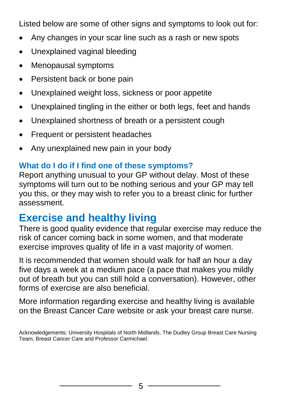Listed below are some of other signs and symptoms to look out for:

- Any changes in your scar line such as a rash or new spots
- Unexplained vaginal bleeding
- Menopausal symptoms
- Persistent back or bone pain
- Unexplained weight loss, sickness or poor appetite
- Unexplained tingling in the either or both legs, feet and hands
- Unexplained shortness of breath or a persistent cough
- Frequent or persistent headaches
- Any unexplained new pain in your body

#### **What do I do if I find one of these symptoms?**

Report anything unusual to your GP without delay. Most of these symptoms will turn out to be nothing serious and your GP may tell you this, or they may wish to refer you to a breast clinic for further assessment.

## **Exercise and healthy living**

There is good quality evidence that regular exercise may reduce the risk of cancer coming back in some women, and that moderate exercise improves quality of life in a vast majority of women.

It is recommended that women should walk for half an hour a day five days a week at a medium pace (a pace that makes you mildly out of breath but you can still hold a conversation). However, other forms of exercise are also beneficial.

More information regarding exercise and healthy living is available on the Breast Cancer Care website or ask your breast care nurse.

Acknowledgements: University Hospitals of North Midlands, The Dudley Group Breast Care Nursing Team, Breast Cancer Care and Professor Carmichael.

5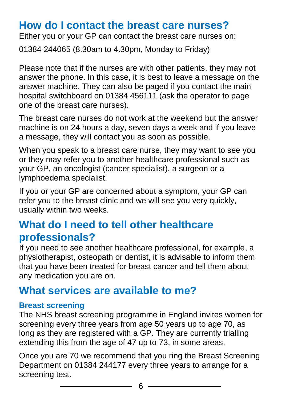## **How do I contact the breast care nurses?**

Either you or your GP can contact the breast care nurses on:

01384 244065 (8.30am to 4.30pm, Monday to Friday)

Please note that if the nurses are with other patients, they may not answer the phone. In this case, it is best to leave a message on the answer machine. They can also be paged if you contact the main hospital switchboard on 01384 456111 (ask the operator to page one of the breast care nurses).

The breast care nurses do not work at the weekend but the answer machine is on 24 hours a day, seven days a week and if you leave a message, they will contact you as soon as possible.

When you speak to a breast care nurse, they may want to see you or they may refer you to another healthcare professional such as your GP, an oncologist (cancer specialist), a surgeon or a lymphoedema specialist.

If you or your GP are concerned about a symptom, your GP can refer you to the breast clinic and we will see you very quickly, usually within two weeks.

## **What do I need to tell other healthcare professionals?**

If you need to see another healthcare professional, for example, a physiotherapist, osteopath or dentist, it is advisable to inform them that you have been treated for breast cancer and tell them about any medication you are on.

## **What services are available to me?**

#### **Breast screening**

The NHS breast screening programme in England invites women for screening every three years from age 50 years up to age 70, as long as they are registered with a GP. They are currently trialling extending this from the age of 47 up to 73, in some areas.

Once you are 70 we recommend that you ring the Breast Screening Department on 01384 244177 every three years to arrange for a screening test.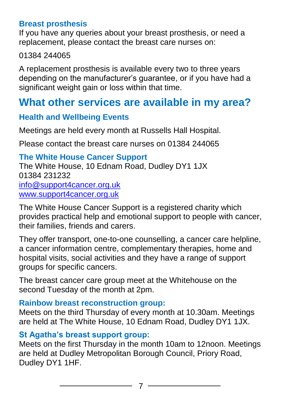#### **Breast prosthesis**

If you have any queries about your breast prosthesis, or need a replacement, please contact the breast care nurses on:

#### 01384 244065

A replacement prosthesis is available every two to three years depending on the manufacturer's guarantee, or if you have had a significant weight gain or loss within that time.

### **What other services are available in my area?**

#### **Health and Wellbeing Events**

Meetings are held every month at Russells Hall Hospital.

Please contact the breast care nurses on 01384 244065

#### **The White House Cancer Support** The White House, 10 Ednam Road, Dudley DY1 1JX 01384 231232 [info@support4cancer.org.uk](file:///C:/Users/sdav03/AppData/Local/Microsoft/Windows/Temporary%20Internet%20Files/Content.Outlook/OHTKWL6I/info@support4cancer.org.uk) [www.support4cancer.org.uk](http://www.support4cancer.org.uk/)

The White House Cancer Support is a registered charity which provides practical help and emotional support to people with cancer, their families, friends and carers.

They offer transport, one-to-one counselling, a cancer care helpline, a cancer information centre, complementary therapies, home and hospital visits, social activities and they have a range of support groups for specific cancers.

The breast cancer care group meet at the Whitehouse on the second Tuesday of the month at 2pm.

#### **Rainbow breast reconstruction group:**

Meets on the third Thursday of every month at 10.30am. Meetings are held at The White House, 10 Ednam Road, Dudley DY1 1JX.

#### **St Agatha's breast support group:**

Meets on the first Thursday in the month 10am to 12noon. Meetings are held at Dudley Metropolitan Borough Council, Priory Road, Dudley DY1 1HF.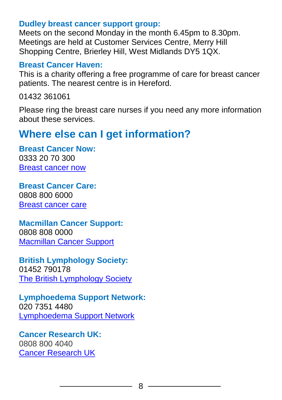#### **Dudley breast cancer support group:**

Meets on the second Monday in the month 6.45pm to 8.30pm. Meetings are held at Customer Services Centre, Merry Hill Shopping Centre, Brierley Hill, West Midlands DY5 1QX.

#### **Breast Cancer Haven:**

This is a charity offering a free programme of care for breast cancer patients. The nearest centre is in Hereford.

01432 361061

Please ring the breast care nurses if you need any more information about these services.

## **Where else can I get information?**

**Breast Cancer Now:** 0333 20 70 300 [Breast cancer now](http://breastcancernow.org/about-breast-cancer)

**Breast Cancer Care:**  0808 800 6000 [Breast cancer care](https://www.breastcancercare.org.uk/)

**Macmillan Cancer Support:**  0808 808 0000 [Macmillan Cancer Support](https://www.macmillan.org.uk/)

**British Lymphology Society:**  01452 790178 [The British Lymphology Society](http://www.thebls.com/)

**Lymphoedema Support Network:**  020 7351 4480 [Lymphoedema Support Network](http://www.lymphoedema.org/index.php)

**Cancer Research UK:** 0808 800 4040 [Cancer Research UK](https://www.cancerresearchuk.org/)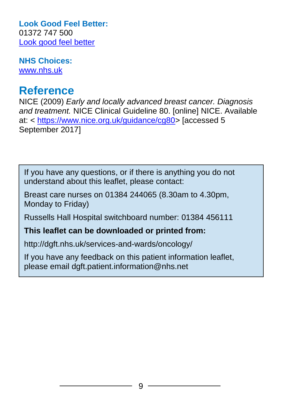**Look Good Feel Better:**  01372 747 500 [Look good feel better](http://www.lookgoodfeelbetter.co.uk/)

**NHS Choices:** [www.nhs.uk](http://www.nhs.uk/pages/home.aspx)

## **Reference**

NICE (2009) *Early and locally advanced breast cancer. Diagnosis and treatment.* NICE Clinical Guideline 80. [online] NICE. Available at: < [https://www.nice.org.uk/guidance/cg80>](https://www.nice.org.uk/guidance/cg80) [accessed 5 September 2017]

If you have any questions, or if there is anything you do not understand about this leaflet, please contact:

Breast care nurses on 01384 244065 (8.30am to 4.30pm, Monday to Friday)

Russells Hall Hospital switchboard number: 01384 456111

**This leaflet can be downloaded or printed from:**

http://dgft.nhs.uk/services-and-wards/oncology/

If you have any feedback on this patient information leaflet, please email dgft.patient.information@nhs.net